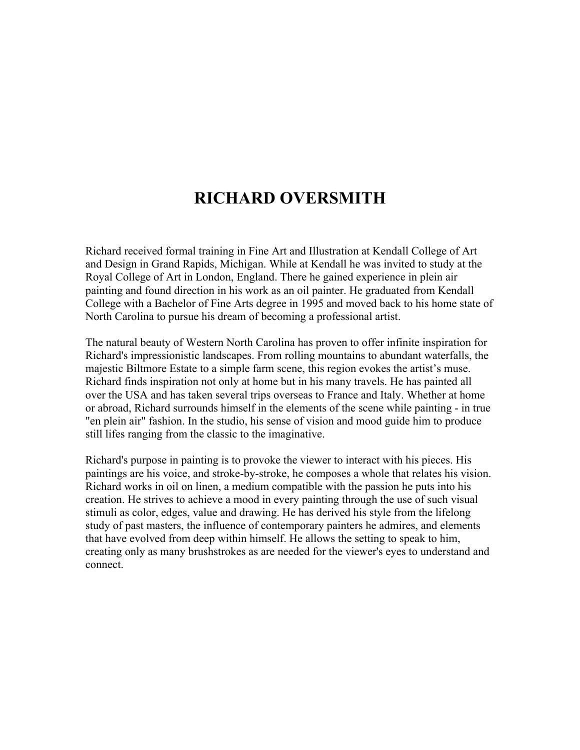# **RICHARD OVERSMITH**

Richard received formal training in Fine Art and Illustration at Kendall College of Art and Design in Grand Rapids, Michigan. While at Kendall he was invited to study at the Royal College of Art in London, England. There he gained experience in plein air painting and found direction in his work as an oil painter. He graduated from Kendall College with a Bachelor of Fine Arts degree in 1995 and moved back to his home state of North Carolina to pursue his dream of becoming a professional artist.

The natural beauty of Western North Carolina has proven to offer infinite inspiration for Richard's impressionistic landscapes. From rolling mountains to abundant waterfalls, the majestic Biltmore Estate to a simple farm scene, this region evokes the artist's muse. Richard finds inspiration not only at home but in his many travels. He has painted all over the USA and has taken several trips overseas to France and Italy. Whether at home or abroad, Richard surrounds himself in the elements of the scene while painting - in true "en plein air" fashion. In the studio, his sense of vision and mood guide him to produce still lifes ranging from the classic to the imaginative.

Richard's purpose in painting is to provoke the viewer to interact with his pieces. His paintings are his voice, and stroke-by-stroke, he composes a whole that relates his vision. Richard works in oil on linen, a medium compatible with the passion he puts into his creation. He strives to achieve a mood in every painting through the use of such visual stimuli as color, edges, value and drawing. He has derived his style from the lifelong study of past masters, the influence of contemporary painters he admires, and elements that have evolved from deep within himself. He allows the setting to speak to him, creating only as many brushstrokes as are needed for the viewer's eyes to understand and connect.